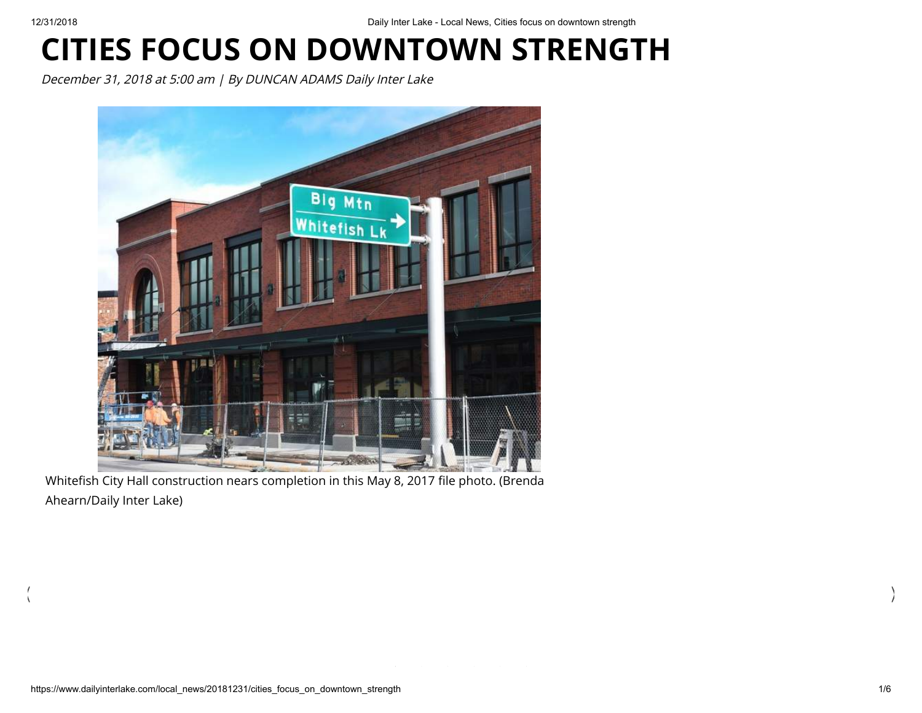$\langle$ 

## **CITIES FOCUS ON DOWNTOWN STRENGTH**

December 31, 2018 at 5:00 am | By DUNCAN ADAMS Daily Inter Lake



Whitefish City Hall construction nears completion in this May 8, 2017 file photo. (Brenda Ahearn/Daily Inter Lake)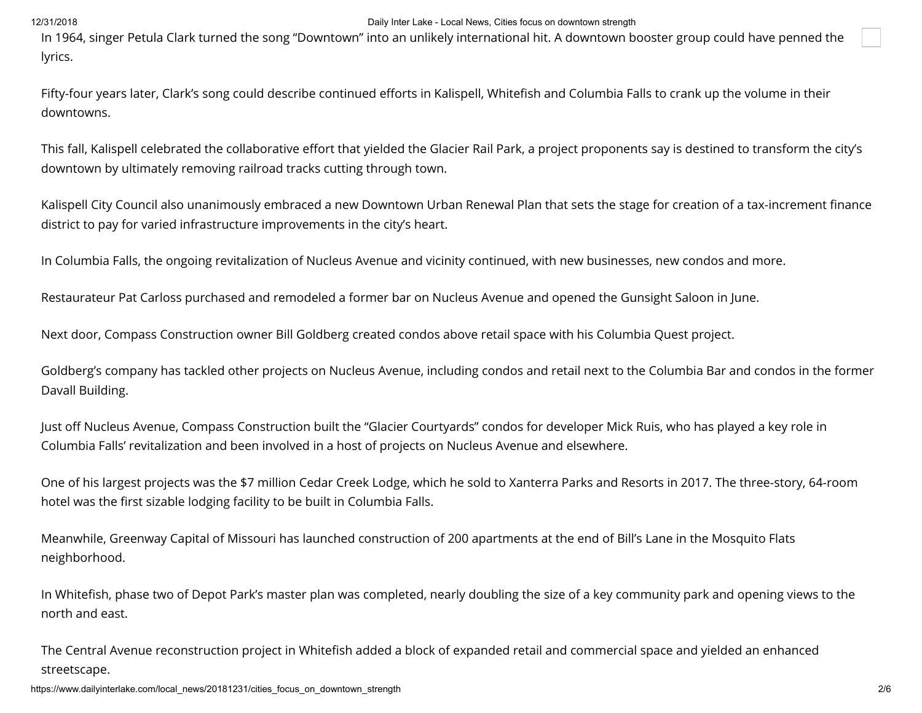In 1964, singer Petula Clark turned the song "Downtown" into an unlikely international hit. A downtown booster group could have penned the lyrics.

Fifty-four years later, Clark's song could describe continued efforts in Kalispell, Whitefish and Columbia Falls to crank up the volume in their downtowns.

This fall, Kalispell celebrated the collaborative effort that yielded the Glacier Rail Park, a project proponents say is destined to transform the city's downtown by ultimately removing railroad tracks cutting through town.

Kalispell City Council also unanimously embraced a new Downtown Urban Renewal Plan that sets the stage for creation of a tax-increment finance district to pay for varied infrastructure improvements in the city's heart.

In Columbia Falls, the ongoing revitalization of Nucleus Avenue and vicinity continued, with new businesses, new condos and more.

Restaurateur Pat Carloss purchased and remodeled a former bar on Nucleus Avenue and opened the Gunsight Saloon in June.

Next door, Compass Construction owner Bill Goldberg created condos above retail space with his Columbia Quest project.

Goldberg's company has tackled other projects on Nucleus Avenue, including condos and retail next to the Columbia Bar and condos in the former Davall Building.

Just off Nucleus Avenue, Compass Construction built the "Glacier Courtyards" condos for developer Mick Ruis, who has played a key role in Columbia Falls' revitalization and been involved in a host of projects on Nucleus Avenue and elsewhere.

One of his largest projects was the \$7 million Cedar Creek Lodge, which he sold to Xanterra Parks and Resorts in 2017. The three-story, 64-room hotel was the first sizable lodging facility to be built in Columbia Falls.

Meanwhile, Greenway Capital of Missouri has launched construction of 200 apartments at the end of Bill's Lane in the Mosquito Flats neighborhood.

In Whitefish, phase two of Depot Park's master plan was completed, nearly doubling the size of a key community park and opening views to the north and east.

The Central Avenue reconstruction project in Whitefish added a block of expanded retail and commercial space and yielded an enhanced streetscape.

https://www.dailyinterlake.com/local\_news/20181231/cities\_focus\_on\_downtown\_strength 206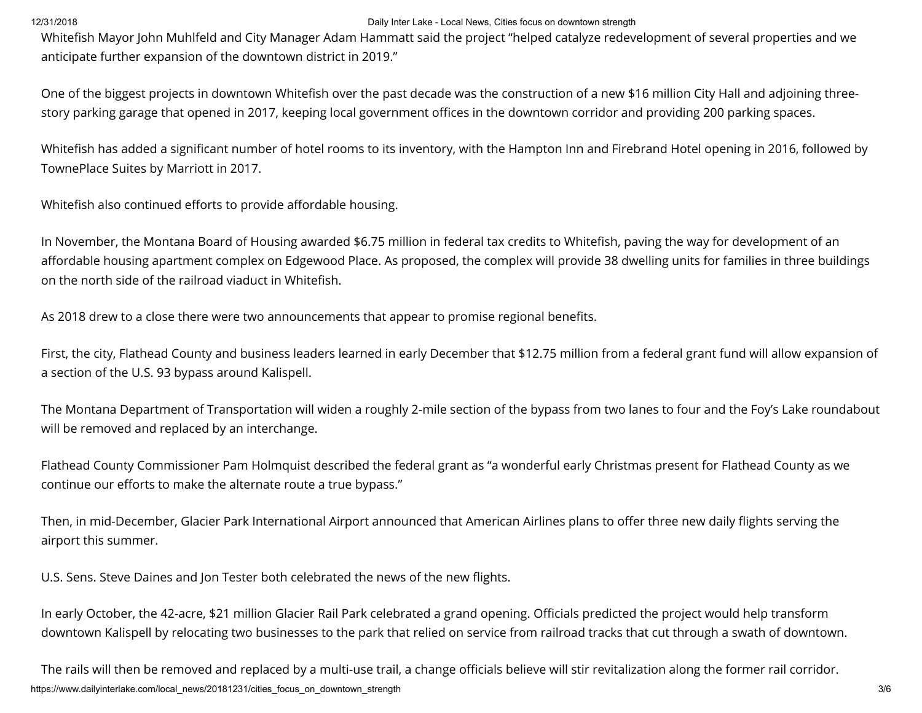Whitefish Mayor John Muhlfeld and City Manager Adam Hammatt said the project "helped catalyze redevelopment of several properties and we anticipate further expansion of the downtown district in 2019."

One of the biggest projects in downtown Whitefish over the past decade was the construction of a new \$16 million City Hall and adjoining threestory parking garage that opened in 2017, keeping local government offices in the downtown corridor and providing 200 parking spaces.

Whitefish has added a significant number of hotel rooms to its inventory, with the Hampton Inn and Firebrand Hotel opening in 2016, followed by TownePlace Suites by Marriott in 2017.

Whitefish also continued efforts to provide affordable housing.

In November, the Montana Board of Housing awarded \$6.75 million in federal tax credits to Whitefish, paving the way for development of an affordable housing apartment complex on Edgewood Place. As proposed, the complex will provide 38 dwelling units for families in three buildings on the north side of the railroad viaduct in Whitefish.

As 2018 drew to a close there were two announcements that appear to promise regional benefits.

First, the city, Flathead County and business leaders learned in early December that \$12.75 million from a federal grant fund will allow expansion of a section of the U.S. 93 bypass around Kalispell.

The Montana Department of Transportation will widen a roughly 2-mile section of the bypass from two lanes to four and the Foy's Lake roundabout will be removed and replaced by an interchange.

Flathead County Commissioner Pam Holmquist described the federal grant as "a wonderful early Christmas present for Flathead County as we continue our efforts to make the alternate route a true bypass."

Then, in mid-December, Glacier Park International Airport announced that American Airlines plans to offer three new daily flights serving the airport this summer.

U.S. Sens. Steve Daines and Jon Tester both celebrated the news of the new flights.

In early October, the 42-acre, \$21 million Glacier Rail Park celebrated a grand opening. Officials predicted the project would help transform downtown Kalispell by relocating two businesses to the park that relied on service from railroad tracks that cut through a swath of downtown.

https://www.dailyinterlake.com/local\_news/20181231/cities\_focus\_on\_downtown\_strength 3/6 The rails will then be removed and replaced by a multi-use trail, a change officials believe will stir revitalization along the former rail corridor.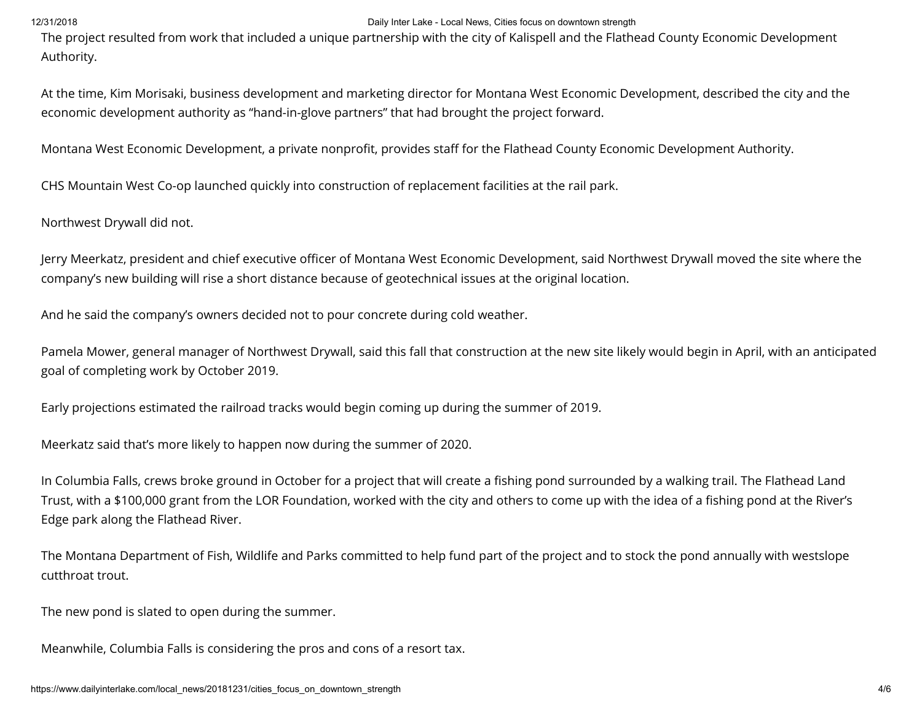The project resulted from work that included a unique partnership with the city of Kalispell and the Flathead County Economic Development Authority.

At the time, Kim Morisaki, business development and marketing director for Montana West Economic Development, described the city and the economic development authority as "hand-in-glove partners" that had brought the project forward.

Montana West Economic Development, a private nonprofit, provides staff for the Flathead County Economic Development Authority.

CHS Mountain West Co-op launched quickly into construction of replacement facilities at the rail park.

Northwest Drywall did not.

Jerry Meerkatz, president and chief executive officer of Montana West Economic Development, said Northwest Drywall moved the site where the company's new building will rise a short distance because of geotechnical issues at the original location.

And he said the company's owners decided not to pour concrete during cold weather.

Pamela Mower, general manager of Northwest Drywall, said this fall that construction at the new site likely would begin in April, with an anticipated goal of completing work by October 2019.

Early projections estimated the railroad tracks would begin coming up during the summer of 2019.

Meerkatz said that's more likely to happen now during the summer of 2020.

In Columbia Falls, crews broke ground in October for a project that will create a fishing pond surrounded by a walking trail. The Flathead Land Trust, with a \$100,000 grant from the LOR Foundation, worked with the city and others to come up with the idea of a fishing pond at the River's Edge park along the Flathead River.

The Montana Department of Fish, Wildlife and Parks committed to help fund part of the project and to stock the pond annually with westslope cutthroat trout.

The new pond is slated to open during the summer.

Meanwhile, Columbia Falls is considering the pros and cons of a resort tax.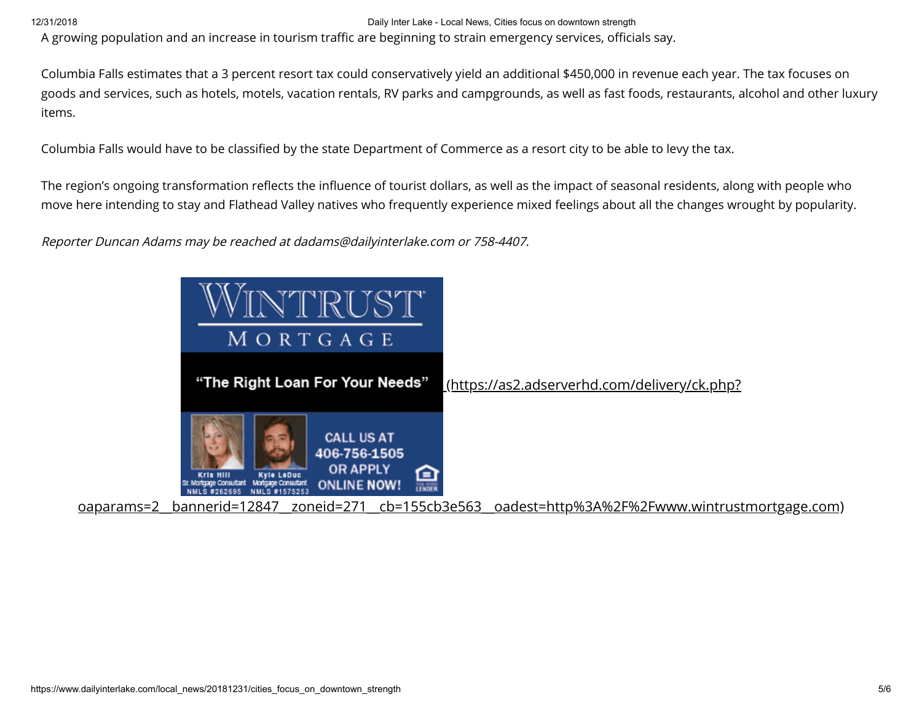A growing population and an increase in tourism traffic are beginning to strain emergency services, officials say.

Columbia Falls estimates that a 3 percent resort tax could conservatively yield an additional \$450,000 in revenue each year. The tax focuses on goods and services, such as hotels, motels, vacation rentals, RV parks and campgrounds, as well as fast foods, restaurants, alcohol and other luxury items.

Columbia Falls would have to be classified by the state Department of Commerce as a resort city to be able to levy the tax.

The region's ongoing transformation reflects the influence of tourist dollars, as well as the impact of seasonal residents, along with people who move here intending to stay and Flathead Valley natives who frequently experience mixed feelings about all the changes wrought by popularity.

Reporter Duncan Adams may be reached at dadams@dailyinterlake.com or 758-4407.